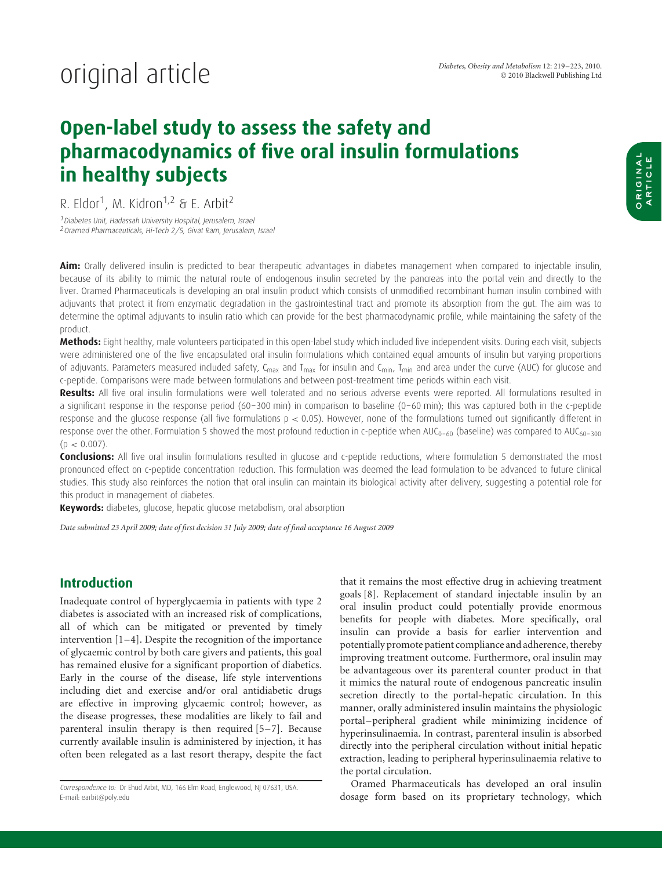# *Diabetes, Obesity and Metabolism* 12: 219–223, 2010.<br>
© 2010 Blackwell Publishing Ltd

### **Open-label study to assess the safety and pharmacodynamics of five oral insulin formulations in healthy subjects**

R. Eldor<sup>1</sup>, M. Kidron<sup>1,2</sup> & E. Arbit<sup>2</sup>

<sup>1</sup>Diabetes Unit, Hadassah University Hospital, Jerusalem, Israel <sup>2</sup> Oramed Pharmaceuticals, Hi-Tech 2/5, Givat Ram, Jerusalem, Israel

**Aim:** Orally delivered insulin is predicted to bear therapeutic advantages in diabetes management when compared to injectable insulin, because of its ability to mimic the natural route of endogenous insulin secreted by the pancreas into the portal vein and directly to the liver. Oramed Pharmaceuticals is developing an oral insulin product which consists of unmodified recombinant human insulin combined with adjuvants that protect it from enzymatic degradation in the gastrointestinal tract and promote its absorption from the gut. The aim was to determine the optimal adjuvants to insulin ratio which can provide for the best pharmacodynamic profile, while maintaining the safety of the product.

**Methods:** Eight healthy, male volunteers participated in this open-label study which included five independent visits. During each visit, subjects were administered one of the five encapsulated oral insulin formulations which contained equal amounts of insulin but varying proportions of adjuvants. Parameters measured included safety, C<sub>max</sub> and T<sub>max</sub> for insulin and C<sub>min</sub>, T<sub>min</sub> and area under the curve (AUC) for glucose and c-peptide. Comparisons were made between formulations and between post-treatment time periods within each visit.

**Results:** All five oral insulin formulations were well tolerated and no serious adverse events were reported. All formulations resulted in a significant response in the response period (60–300 min) in comparison to baseline (0–60 min); this was captured both in the c-peptide response and the glucose response (all five formulations  $p < 0.05$ ). However, none of the formulations turned out significantly different in response over the other. Formulation 5 showed the most profound reduction in c-peptide when AUC<sub>0-60</sub> (baseline) was compared to AUC<sub>60-300</sub>  $(p < 0.007)$ .

**Conclusions:** All five oral insulin formulations resulted in glucose and c-peptide reductions, where formulation 5 demonstrated the most pronounced effect on c-peptide concentration reduction. This formulation was deemed the lead formulation to be advanced to future clinical studies. This study also reinforces the notion that oral insulin can maintain its biological activity after delivery, suggesting a potential role for this product in management of diabetes.

**Keywords:** diabetes, glucose, hepatic glucose metabolism, oral absorption

*Date submitted 23 April 2009; date of first decision 31 July 2009; date of final acceptance 16 August 2009*

### **Introduction**

Inadequate control of hyperglycaemia in patients with type 2 diabetes is associated with an increased risk of complications, all of which can be mitigated or prevented by timely intervention [1–4]. Despite the recognition of the importance of glycaemic control by both care givers and patients, this goal has remained elusive for a significant proportion of diabetics. Early in the course of the disease, life style interventions including diet and exercise and/or oral antidiabetic drugs are effective in improving glycaemic control; however, as the disease progresses, these modalities are likely to fail and parenteral insulin therapy is then required [5–7]. Because currently available insulin is administered by injection, it has often been relegated as a last resort therapy, despite the fact that it remains the most effective drug in achieving treatment goals [8]. Replacement of standard injectable insulin by an oral insulin product could potentially provide enormous benefits for people with diabetes. More specifically, oral insulin can provide a basis for earlier intervention and potentially promote patient compliance and adherence, thereby improving treatment outcome. Furthermore, oral insulin may be advantageous over its parenteral counter product in that it mimics the natural route of endogenous pancreatic insulin secretion directly to the portal-hepatic circulation. In this manner, orally administered insulin maintains the physiologic portal–peripheral gradient while minimizing incidence of hyperinsulinaemia. In contrast, parenteral insulin is absorbed directly into the peripheral circulation without initial hepatic extraction, leading to peripheral hyperinsulinaemia relative to the portal circulation.

Oramed Pharmaceuticals has developed an oral insulin dosage form based on its proprietary technology, which

Correspondence to: Dr Ehud Arbit, MD, 166 Elm Road, Englewood, NJ 07631, USA. E-mail: earbit@poly.edu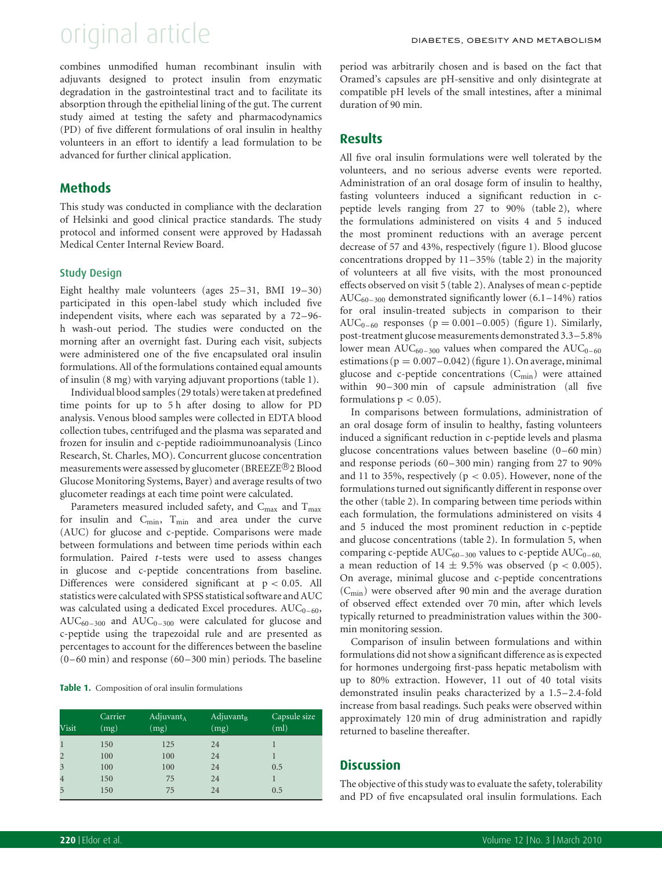# $Of\dot{q}$  article  $Of\dot{q}$

combines unmodified human recombinant insulin with adjuvants designed to protect insulin from enzymatic degradation in the gastrointestinal tract and to facilitate its absorption through the epithelial lining of the gut. The current study aimed at testing the safety and pharmacodynamics (PD) of five different formulations of oral insulin in healthy volunteers in an effort to identify a lead formulation to be advanced for further clinical application.

#### **Methods**

This study was conducted in compliance with the declaration of Helsinki and good clinical practice standards. The study protocol and informed consent were approved by Hadassah Medical Center Internal Review Board.

#### Study Design

Eight healthy male volunteers (ages 25–31, BMI 19–30) participated in this open-label study which included five independent visits, where each was separated by a 72–96 h wash-out period. The studies were conducted on the morning after an overnight fast. During each visit, subjects were administered one of the five encapsulated oral insulin formulations. All of the formulations contained equal amounts of insulin (8 mg) with varying adjuvant proportions (table 1).

Individual blood samples (29 totals) were taken at predefined time points for up to 5 h after dosing to allow for PD analysis. Venous blood samples were collected in EDTA blood collection tubes, centrifuged and the plasma was separated and frozen for insulin and c-peptide radioimmunoanalysis (Linco Research, St. Charles, MO). Concurrent glucose concentration measurements were assessed by glucometer (BREEZE<sup>®</sup>2 Blood Glucose Monitoring Systems, Bayer) and average results of two glucometer readings at each time point were calculated.

Parameters measured included safety, and C<sub>max</sub> and T<sub>max</sub> for insulin and  $C_{\text{min}}$ ,  $T_{\text{min}}$  and area under the curve (AUC) for glucose and c-peptide. Comparisons were made between formulations and between time periods within each formulation. Paired *t*-tests were used to assess changes in glucose and c-peptide concentrations from baseline. Differences were considered significant at p < 0.05. All statistics were calculated with SPSS statistical software and AUC was calculated using a dedicated Excel procedures.  $AUC_{0-60}$ ,  $AUC_{60-300}$  and  $AUC_{0-300}$  were calculated for glucose and c-peptide using the trapezoidal rule and are presented as percentages to account for the differences between the baseline (0–60 min) and response (60–300 min) periods. The baseline

#### **Table 1.** Composition of oral insulin formulations

| Visit          | Carrier<br>(mg) | $\text{Adjuvant}_{A}$<br>(mg) | Adjuvant <sub>B</sub><br>(mg) | Capsule size<br>(ml) |
|----------------|-----------------|-------------------------------|-------------------------------|----------------------|
|                | 150             | 125                           | 24                            |                      |
| $\overline{2}$ | 100             | 100                           | 24                            |                      |
| $\overline{3}$ | 100             | 100                           | 24                            | 0.5                  |
| $\overline{4}$ | 150             | 75                            | 24                            |                      |
| 5              | 150             | 75                            | 24                            | 0.5                  |

period was arbitrarily chosen and is based on the fact that Oramed's capsules are pH-sensitive and only disintegrate at compatible pH levels of the small intestines, after a minimal duration of 90 min.

#### **Results**

All five oral insulin formulations were well tolerated by the volunteers, and no serious adverse events were reported. Administration of an oral dosage form of insulin to healthy, fasting volunteers induced a significant reduction in cpeptide levels ranging from 27 to 90% (table 2), where the formulations administered on visits 4 and 5 induced the most prominent reductions with an average percent decrease of 57 and 43%, respectively (figure 1). Blood glucose concentrations dropped by 11–35% (table 2) in the majority of volunteers at all five visits, with the most pronounced effects observed on visit 5 (table 2). Analyses of mean c-peptide AUC<sub>60-300</sub> demonstrated significantly lower (6.1-14%) ratios for oral insulin-treated subjects in comparison to their AUC<sub>0-60</sub> responses ( $p = 0.001 - 0.005$ ) (figure 1). Similarly, post-treatment glucose measurements demonstrated 3.3–5.8% lower mean  $AUC_{60-300}$  values when compared the  $AUC_{0-60}$ estimations ( $p = 0.007 - 0.042$ ) (figure 1). On average, minimal glucose and c-peptide concentrations  $(C_{\text{min}})$  were attained within 90–300 min of capsule administration (all five formulations  $p < 0.05$ ).

In comparisons between formulations, administration of an oral dosage form of insulin to healthy, fasting volunteers induced a significant reduction in c-peptide levels and plasma glucose concentrations values between baseline (0–60 min) and response periods (60–300 min) ranging from 27 to 90% and 11 to 35%, respectively ( $p < 0.05$ ). However, none of the formulations turned out significantly different in response over the other (table 2). In comparing between time periods within each formulation, the formulations administered on visits 4 and 5 induced the most prominent reduction in c-peptide and glucose concentrations (table 2). In formulation 5, when comparing c-peptide  $AUC_{60-300}$  values to c-peptide  $AUC_{0-60}$ , a mean reduction of  $14 \pm 9.5\%$  was observed (p < 0.005). On average, minimal glucose and c-peptide concentrations  $(C_{\text{min}})$  were observed after 90 min and the average duration of observed effect extended over 70 min, after which levels typically returned to preadministration values within the 300 min monitoring session.

Comparison of insulin between formulations and within formulations did not show a significant difference as is expected for hormones undergoing first-pass hepatic metabolism with up to 80% extraction. However, 11 out of 40 total visits demonstrated insulin peaks characterized by a 1.5–2.4-fold increase from basal readings. Such peaks were observed within approximately 120 min of drug administration and rapidly returned to baseline thereafter.

#### **Discussion**

The objective of this study was to evaluate the safety, tolerability and PD of five encapsulated oral insulin formulations. Each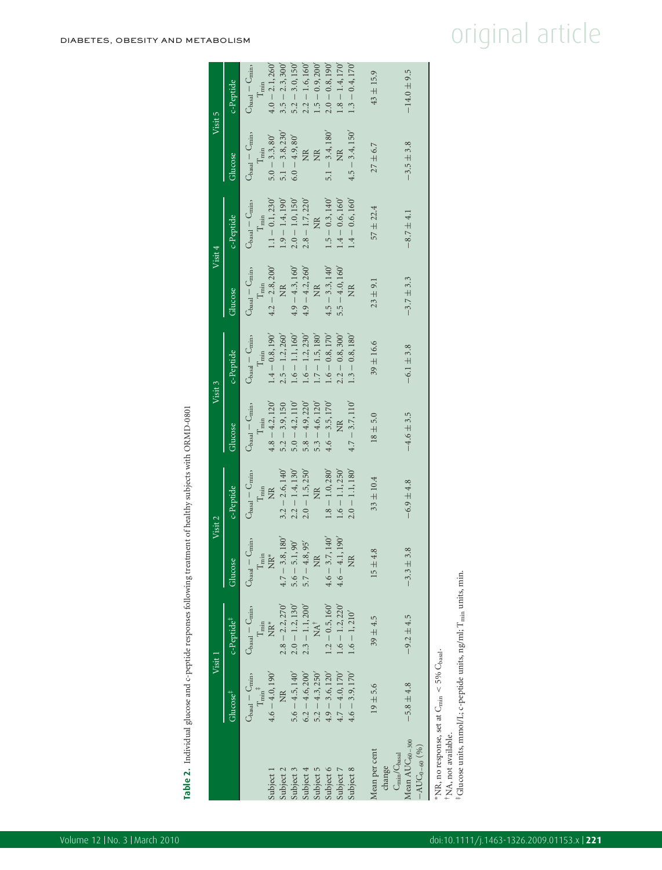|  | Volume 12   No. 3   March 2010 |  |
|--|--------------------------------|--|
|  |                                |  |

Table 2. Individual glucose and c-peptide responses following treatment of healthy subjects with ORMD-0801

|                                                                                      | Visit 1                                                              |                                                                  |                                                        | Visit 2                                              |                                                  | Visit 3                                          |                                                  | Visit 4                                            |                                                  | Visit 5                      |
|--------------------------------------------------------------------------------------|----------------------------------------------------------------------|------------------------------------------------------------------|--------------------------------------------------------|------------------------------------------------------|--------------------------------------------------|--------------------------------------------------|--------------------------------------------------|----------------------------------------------------|--------------------------------------------------|------------------------------|
|                                                                                      | Glucose <sup>#</sup>                                                 | c-Peptide <sup>#</sup>                                           | Glucose                                                | c-Peptide                                            | Glucose                                          | c-Peptide                                        | Glucose                                          | c-Peptide                                          | Glucose                                          | c-Peptide                    |
|                                                                                      | $C_{\text{basal}} - C_{\text{min}}$<br>$T_{min}$ <sup>#</sup>        | $C_{\text{basal}} - C_{\text{min}}$<br>$T_{\rm min}$             | $C_{\text{basal}} - C_{\text{min}}$ ,<br>$\rm T_{min}$ | $C_{\text{basal}} - C_{\text{min}}$<br>$T_{\rm min}$ | $C_{\text{basal}} - C_{\text{min}}$<br>$T_{min}$ | $C_{\text{basal}} - C_{\text{min}}$<br>$T_{min}$ | $C_{\text{basal}} - C_{\text{min}}$<br>$T_{min}$ | $C_{basal} - C_{min}$<br>$\angle$ T <sub>min</sub> | $C_{\text{basal}} - C_{\text{min}}$<br>$T_{min}$ | $Cbasal - Cmin$<br>$T_{min}$ |
| Subject 1                                                                            | $4.6 - 4.0, 190'$                                                    | Ř                                                                | NR*                                                    | Z                                                    | $4.8 - 4.2, 120'$                                | $1.4 - 0.8, 190'$                                | $4.2 - 2.8,200'$                                 | $1.1 - 0.1, 230'$                                  | $5.0 - 3.3, 80'$                                 | $4.0 - 2.1,260$              |
| Subject 2                                                                            | Ž                                                                    | $2.8 - 2.2,270'$                                                 | $4.7 - 3.8,180'$                                       | $3.2 - 2.6, 140'$                                    | $5.2 - 3.9,150$                                  | $2.5 - 1.2,260'$                                 | Ž                                                | $1.9 - 1.4, 190'$                                  | $5.1 - 3.8,230$                                  | $3.5 - 2.3,300$              |
| Subject 3                                                                            | $5.6 - 4.5,140'$                                                     | $2.0 - 1.2, 130'$                                                | $5.6 - 5.1,90'$                                        | $2.2 - 1.4, 130'$                                    | $5.0 - 4.2, 110'$                                | $1.6 - 1.1, 160'$                                | $4.9 - 4.3, 160'$                                | $2.0 - 1.0, 150'$                                  | $6.0 - 4.9, 80'$                                 | $5.2 - 3.0, 150$             |
| Subject 4                                                                            | $6.2 - 4.6,200'$                                                     | $2.3 - 1.1,200$                                                  | $5.7 - 4.8,95'$                                        | $2.0 - 1.5, 250'$                                    | $5.8 - 4.9,220'$                                 | $1.6 - 1.2,230'$                                 | $4.9 - 4.2,260'$                                 | $2.8 - 1.7, 220'$                                  | $\frac{R}{Z}$                                    | $2.2 - 1.6, 160$             |
| Subject 5                                                                            | $5.2 - 4.3,250'$                                                     | $\stackrel{\scriptscriptstyle +}{\rm NA}^{\scriptscriptstyle +}$ | Ř                                                      | $\widetilde{\Xi}$                                    | $5.3 - 4.6, 120'$                                | $1.7 - 1.5, 180'$                                | $\widetilde{z}$                                  | $\widetilde{\Xi}$                                  | $\widetilde{z}$                                  | $1.5 - 0.9, 200$             |
| Subject 6                                                                            | $4.9 - 3.6, 120'$                                                    | $1.2 - 0.5, 160'$                                                | $4.6 - 3.7, 140'$                                      | $1.8 - 1.0,280'$                                     | $4.6 - 3.5,170'$                                 | $1.6 - 0.8, 170'$                                | $4.5 - 3.3, 140'$                                | $1.5 - 0.3, 140'$                                  | $5.1 - 3.4,180'$                                 | $2.0 - 0.8, 190$             |
| Subject 7                                                                            | $4.7 - 4.0, 170'$                                                    | $1.6 - 1.2,220'$                                                 | $4.6 - 4.1, 190'$                                      | $1.6 - 1.1, 250'$                                    | XR                                               | $2.2 - 0.8,300'$                                 | $5.5 - 4.0, 160'$                                | $1.4 - 0.6, 160'$                                  | $\widetilde{\Xi}$                                | $1.8 - 1.4, 170$             |
| Subject 8                                                                            | $4.6 - 3.9,170'$                                                     | $1.6 - 1,210'$                                                   | $\widetilde{\Xi}$                                      | $2.0 - 1.1, 180'$                                    | $4.7 - 3.7, 110'$                                | $1.3 - 0.8, 180'$                                | <b>受</b>                                         | $1.4 - 0.6, 160'$                                  | $4.5 - 3.4, 150'$                                | $1.3 - 0.4, 170$             |
| Mean per cent<br>change                                                              | $19 + 5.6$                                                           | $39 + 4.5$                                                       | $15 \pm 4.8$                                           | $33 \pm 10.4$                                        | $18 + 5.0$                                       | $39 \pm 16.6$                                    | $23 \pm 9.1$                                     | $57 \pm 22.4$                                      | $27 + 6.7$                                       | $43 + 15.9$                  |
| Mean AUC <sub>60-300</sub><br>$-{\rm AUC}_{0-60}$ (%)<br>$C_{\rm min}/C_{\rm basal}$ | $-5.8 \pm 4.8$                                                       | $-9.2 \pm 4.5$                                                   | $-3.3 \pm 3.8$                                         | $-6.9 \pm 4.8$                                       | $-4.6 \pm 3.5$                                   | $-6.1 \pm 3.8$                                   | $-3.7 \pm 3.3$                                   | $-8.7 \pm 4.1$                                     | $-3.5 \pm 3.8$                                   | $-14.0 \pm 9.5$              |
| 'NA, not available.                                                                  | *NR, no response, set at $C_{\text{min}} < 5\%$ $C_{\text{basal}}$ . |                                                                  |                                                        |                                                      |                                                  |                                                  |                                                  |                                                    |                                                  |                              |

 $\ddot{\tau}$ Glucose units, mmol/L; c-peptide units, ng/ml; T<sub>min</sub> units, min.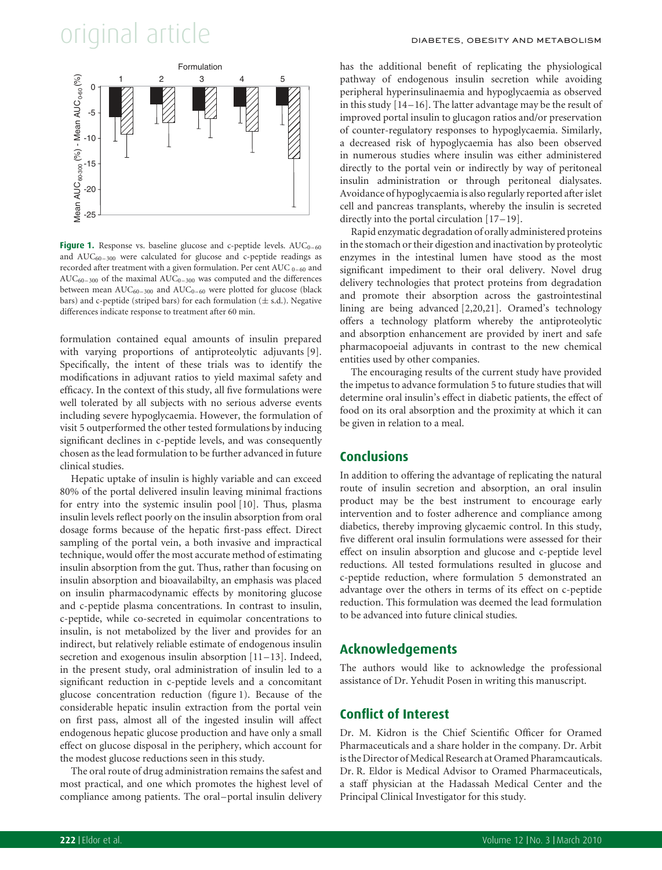## $\overline{O}\Gamma$ iqinal article  $\overline{O}\Gamma$



**Figure 1.** Response vs. baseline glucose and c-peptide levels.  $AUC_{0-60}$ and  $AUC_{60-300}$  were calculated for glucose and c-peptide readings as recorded after treatment with a given formulation. Per cent AUC  $_{0-60}$  and  $AUC_{60-300}$  of the maximal  $AUC_{0-300}$  was computed and the differences between mean  $AUC_{60-300}$  and  $AUC_{0-60}$  were plotted for glucose (black bars) and c-peptide (striped bars) for each formulation  $(\pm s.d.)$ . Negative differences indicate response to treatment after 60 min.

formulation contained equal amounts of insulin prepared with varying proportions of antiproteolytic adjuvants [9]. Specifically, the intent of these trials was to identify the modifications in adjuvant ratios to yield maximal safety and efficacy. In the context of this study, all five formulations were well tolerated by all subjects with no serious adverse events including severe hypoglycaemia. However, the formulation of visit 5 outperformed the other tested formulations by inducing significant declines in c-peptide levels, and was consequently chosen as the lead formulation to be further advanced in future clinical studies.

Hepatic uptake of insulin is highly variable and can exceed 80% of the portal delivered insulin leaving minimal fractions for entry into the systemic insulin pool [10]. Thus, plasma insulin levels reflect poorly on the insulin absorption from oral dosage forms because of the hepatic first-pass effect. Direct sampling of the portal vein, a both invasive and impractical technique, would offer the most accurate method of estimating insulin absorption from the gut. Thus, rather than focusing on insulin absorption and bioavailabilty, an emphasis was placed on insulin pharmacodynamic effects by monitoring glucose and c-peptide plasma concentrations. In contrast to insulin, c-peptide, while co-secreted in equimolar concentrations to insulin, is not metabolized by the liver and provides for an indirect, but relatively reliable estimate of endogenous insulin secretion and exogenous insulin absorption [11–13]. Indeed, in the present study, oral administration of insulin led to a significant reduction in c-peptide levels and a concomitant glucose concentration reduction (figure 1). Because of the considerable hepatic insulin extraction from the portal vein on first pass, almost all of the ingested insulin will affect endogenous hepatic glucose production and have only a small effect on glucose disposal in the periphery, which account for the modest glucose reductions seen in this study.

The oral route of drug administration remains the safest and most practical, and one which promotes the highest level of compliance among patients. The oral–portal insulin delivery

has the additional benefit of replicating the physiological pathway of endogenous insulin secretion while avoiding peripheral hyperinsulinaemia and hypoglycaemia as observed in this study [14–16]. The latter advantage may be the result of improved portal insulin to glucagon ratios and/or preservation of counter-regulatory responses to hypoglycaemia. Similarly, a decreased risk of hypoglycaemia has also been observed in numerous studies where insulin was either administered directly to the portal vein or indirectly by way of peritoneal insulin administration or through peritoneal dialysates. Avoidance of hypoglycaemia is also regularly reported after islet cell and pancreas transplants, whereby the insulin is secreted directly into the portal circulation [17–19].

Rapid enzymatic degradation of orally administered proteins in the stomach or their digestion and inactivation by proteolytic enzymes in the intestinal lumen have stood as the most significant impediment to their oral delivery. Novel drug delivery technologies that protect proteins from degradation and promote their absorption across the gastrointestinal lining are being advanced [2,20,21]. Oramed's technology offers a technology platform whereby the antiproteolytic and absorption enhancement are provided by inert and safe pharmacopoeial adjuvants in contrast to the new chemical entities used by other companies.

The encouraging results of the current study have provided the impetus to advance formulation 5 to future studies that will determine oral insulin's effect in diabetic patients, the effect of food on its oral absorption and the proximity at which it can be given in relation to a meal.

#### **Conclusions**

In addition to offering the advantage of replicating the natural route of insulin secretion and absorption, an oral insulin product may be the best instrument to encourage early intervention and to foster adherence and compliance among diabetics, thereby improving glycaemic control. In this study, five different oral insulin formulations were assessed for their effect on insulin absorption and glucose and c-peptide level reductions. All tested formulations resulted in glucose and c-peptide reduction, where formulation 5 demonstrated an advantage over the others in terms of its effect on c-peptide reduction. This formulation was deemed the lead formulation to be advanced into future clinical studies.

#### **Acknowledgements**

The authors would like to acknowledge the professional assistance of Dr. Yehudit Posen in writing this manuscript.

### **Conflict of Interest**

Dr. M. Kidron is the Chief Scientific Officer for Oramed Pharmaceuticals and a share holder in the company. Dr. Arbit is the Director of Medical Research at Oramed Pharamcauticals. Dr. R. Eldor is Medical Advisor to Oramed Pharmaceuticals, a staff physician at the Hadassah Medical Center and the Principal Clinical Investigator for this study.